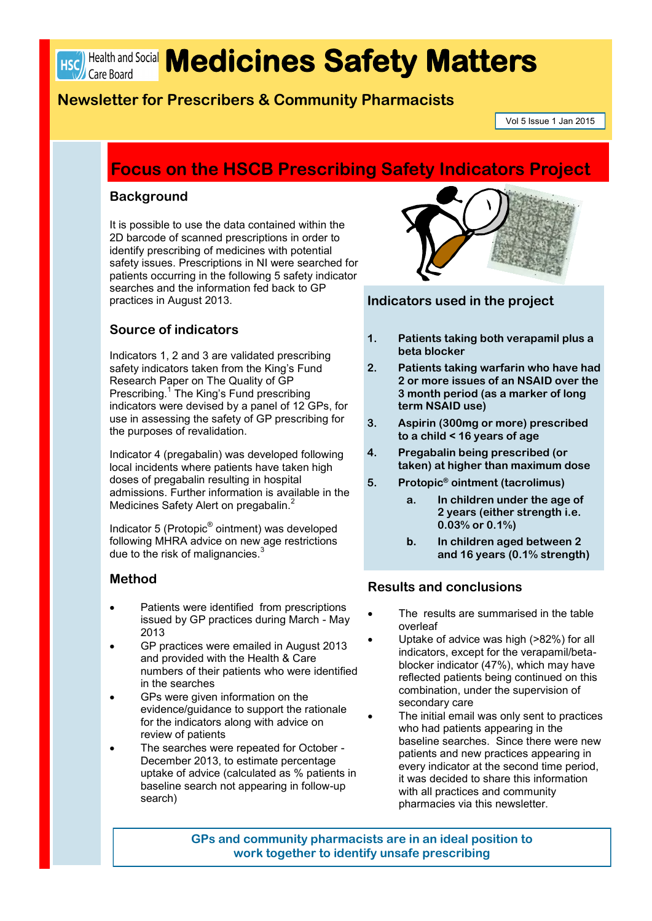

# HSC Health and Social **Medicines Safety Matters**

## **Newsletter for Prescribers & Community Pharmacists**

Vol 5 Issue 1 Jan 2015

## **Focus on the HSCB Prescribing Safety Indicators Project**

#### **Background**

It is possible to use the data contained within the 2D barcode of scanned prescriptions in order to identify prescribing of medicines with potential safety issues. Prescriptions in NI were searched for patients occurring in the following 5 safety indicator searches and the information fed back to GP practices in August 2013.

### **Source of indicators**

Indicators 1, 2 and 3 are validated prescribing safety indicators taken from the King's Fund Research Paper on The Quality of GP Prescribing.<sup>1</sup> The King's Fund prescribing indicators were devised by a panel of 12 GPs, for use in assessing the safety of GP prescribing for the purposes of revalidation.

Indicator 4 (pregabalin) was developed following local incidents where patients have taken high doses of pregabalin resulting in hospital admissions. Further information is available in the Medicines Safety Alert on pregabalin.<sup>2</sup>

Indicator 5 (Protopic® ointment) was developed following MHRA advice on new age restrictions due to the risk of malignancies. $3$ 

#### **Method**

- Patients were identified from prescriptions issued by GP practices during March - May 2013
- GP practices were emailed in August 2013 and provided with the Health & Care numbers of their patients who were identified in the searches
- GPs were given information on the evidence/guidance to support the rationale for the indicators along with advice on review of patients
- The searches were repeated for October December 2013, to estimate percentage uptake of advice (calculated as % patients in baseline search not appearing in follow-up search)



#### **Indicators used in the project**

- **1. Patients taking both verapamil plus a beta blocker**
- **2. Patients taking warfarin who have had 2 or more issues of an NSAID over the 3 month period (as a marker of long term NSAID use)**
- **3. Aspirin (300mg or more) prescribed to a child < 16 years of age**
- **4. Pregabalin being prescribed (or taken) at higher than maximum dose**
- **5. Protopic® ointment (tacrolimus)**
	- **a. In children under the age of 2 years (either strength i.e. 0.03% or 0.1%)**
	- **b. In children aged between 2 and 16 years (0.1% strength)**

#### **Results and conclusions**

- The results are summarised in the table overleaf
- Uptake of advice was high (>82%) for all indicators, except for the verapamil/betablocker indicator (47%), which may have reflected patients being continued on this combination, under the supervision of secondary care
	- The initial email was only sent to practices who had patients appearing in the baseline searches. Since there were new patients and new practices appearing in every indicator at the second time period, it was decided to share this information with all practices and community pharmacies via this newsletter.

**GPs and community pharmacists are in an ideal position to work together to identify unsafe prescribing**